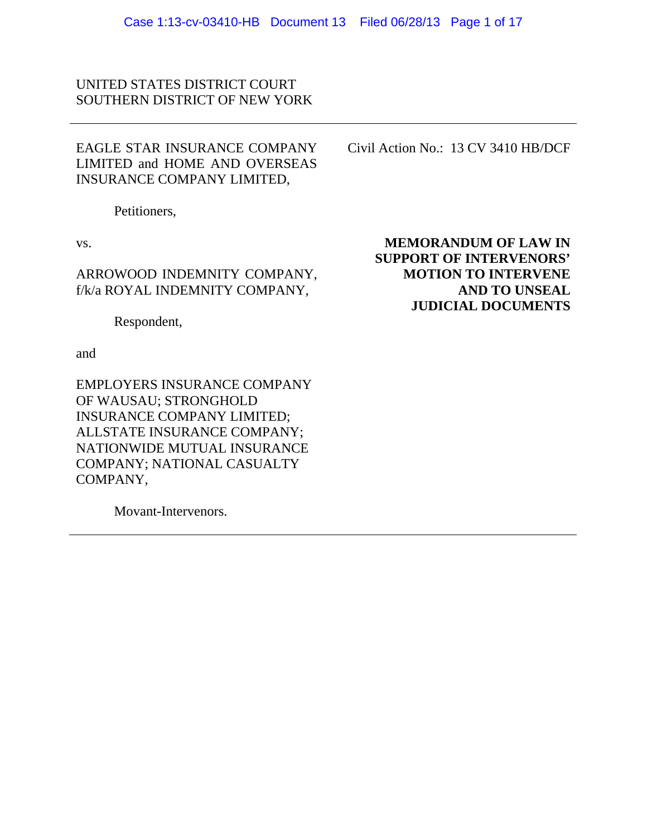## UNITED STATES DISTRICT COURT SOUTHERN DISTRICT OF NEW YORK

## EAGLE STAR INSURANCE COMPANY LIMITED and HOME AND OVERSEAS INSURANCE COMPANY LIMITED,

Petitioners,

vs.

ARROWOOD INDEMNITY COMPANY, f/k/a ROYAL INDEMNITY COMPANY,

Respondent,

and

EMPLOYERS INSURANCE COMPANY OF WAUSAU; STRONGHOLD INSURANCE COMPANY LIMITED; ALLSTATE INSURANCE COMPANY; NATIONWIDE MUTUAL INSURANCE COMPANY; NATIONAL CASUALTY COMPANY,

Movant-Intervenors.

Civil Action No.: 13 CV 3410 HB/DCF

**MEMORANDUM OF LAW IN SUPPORT OF INTERVENORS' MOTION TO INTERVENE AND TO UNSEAL JUDICIAL DOCUMENTS**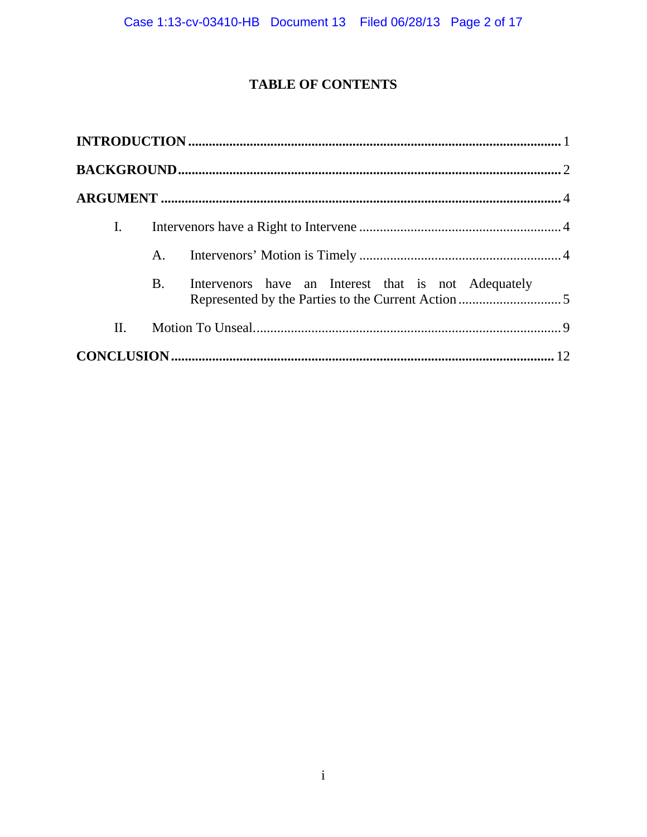# **TABLE OF CONTENTS**

| I.  |           |  |
|-----|-----------|--|
|     | A.        |  |
|     | <b>B.</b> |  |
| II. |           |  |
|     |           |  |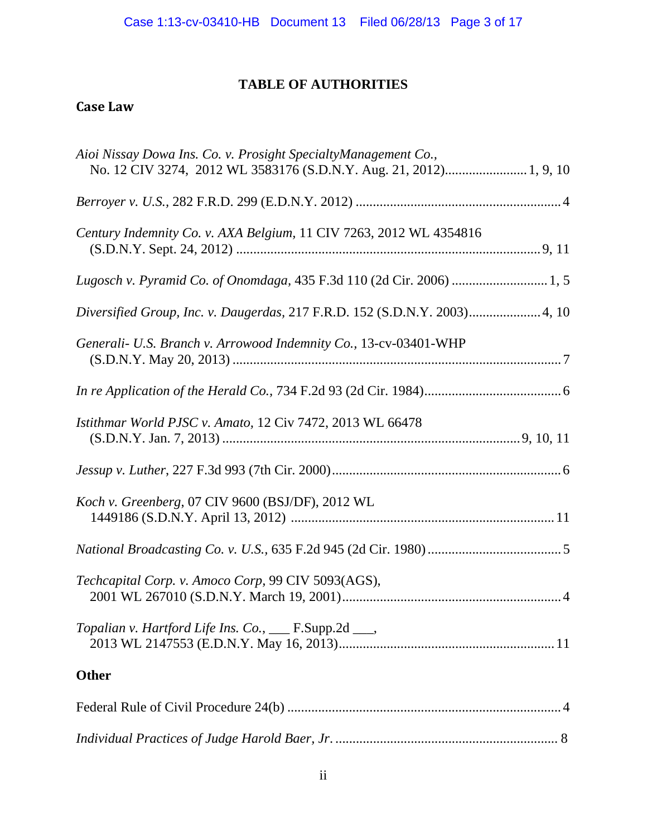# **TABLE OF AUTHORITIES**

# **Case Law**

| Aioi Nissay Dowa Ins. Co. v. Prosight SpecialtyManagement Co.,<br>No. 12 CIV 3274, 2012 WL 3583176 (S.D.N.Y. Aug. 21, 2012) 1, 9, 10 |
|--------------------------------------------------------------------------------------------------------------------------------------|
|                                                                                                                                      |
| Century Indemnity Co. v. AXA Belgium, 11 CIV 7263, 2012 WL 4354816                                                                   |
| Lugosch v. Pyramid Co. of Onomdaga, 435 F.3d 110 (2d Cir. 2006) 1, 5                                                                 |
| Diversified Group, Inc. v. Daugerdas, 217 F.R.D. 152 (S.D.N.Y. 2003) 4, 10                                                           |
| Generali- U.S. Branch v. Arrowood Indemnity Co., 13-cv-03401-WHP                                                                     |
|                                                                                                                                      |
| Istithmar World PJSC v. Amato, 12 Civ 7472, 2013 WL 66478                                                                            |
|                                                                                                                                      |
| Koch v. Greenberg, 07 CIV 9600 (BSJ/DF), 2012 WL                                                                                     |
|                                                                                                                                      |
| Techcapital Corp. v. Amoco Corp, 99 CIV 5093(AGS),                                                                                   |
| Topalian v. Hartford Life Ins. Co., __ F.Supp.2d __,                                                                                 |
| <b>Other</b>                                                                                                                         |
|                                                                                                                                      |
|                                                                                                                                      |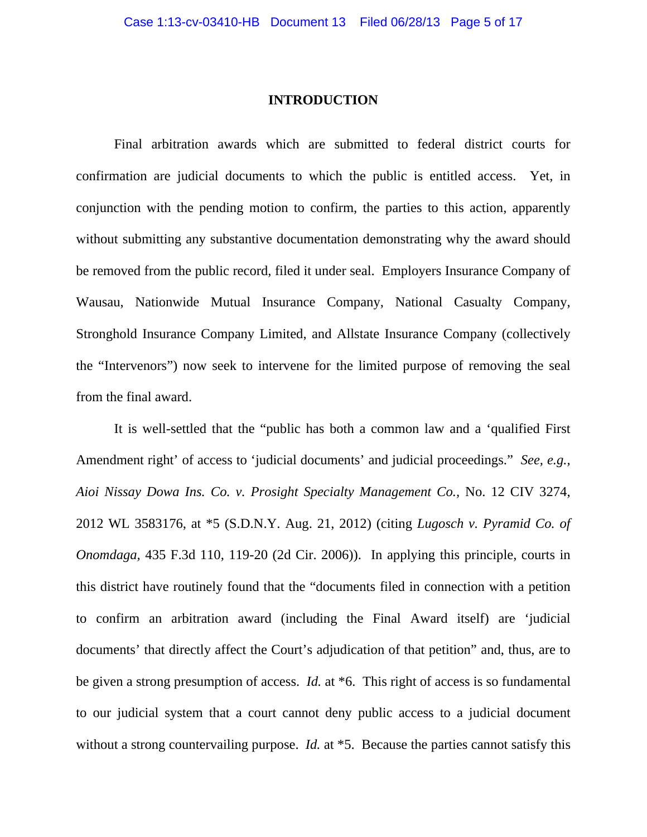### **INTRODUCTION**

Final arbitration awards which are submitted to federal district courts for confirmation are judicial documents to which the public is entitled access. Yet, in conjunction with the pending motion to confirm, the parties to this action, apparently without submitting any substantive documentation demonstrating why the award should be removed from the public record, filed it under seal. Employers Insurance Company of Wausau, Nationwide Mutual Insurance Company, National Casualty Company, Stronghold Insurance Company Limited, and Allstate Insurance Company (collectively the "Intervenors") now seek to intervene for the limited purpose of removing the seal from the final award.

It is well-settled that the "public has both a common law and a 'qualified First Amendment right' of access to 'judicial documents' and judicial proceedings." *See, e.g., Aioi Nissay Dowa Ins. Co. v. Prosight Specialty Management Co.,* No. 12 CIV 3274, 2012 WL 3583176, at \*5 (S.D.N.Y. Aug. 21, 2012) (citing *Lugosch v. Pyramid Co. of Onomdaga,* 435 F.3d 110, 119-20 (2d Cir. 2006)). In applying this principle, courts in this district have routinely found that the "documents filed in connection with a petition to confirm an arbitration award (including the Final Award itself) are 'judicial documents' that directly affect the Court's adjudication of that petition" and, thus, are to be given a strong presumption of access. *Id.* at \*6. This right of access is so fundamental to our judicial system that a court cannot deny public access to a judicial document without a strong countervailing purpose. *Id.* at  $*5$ . Because the parties cannot satisfy this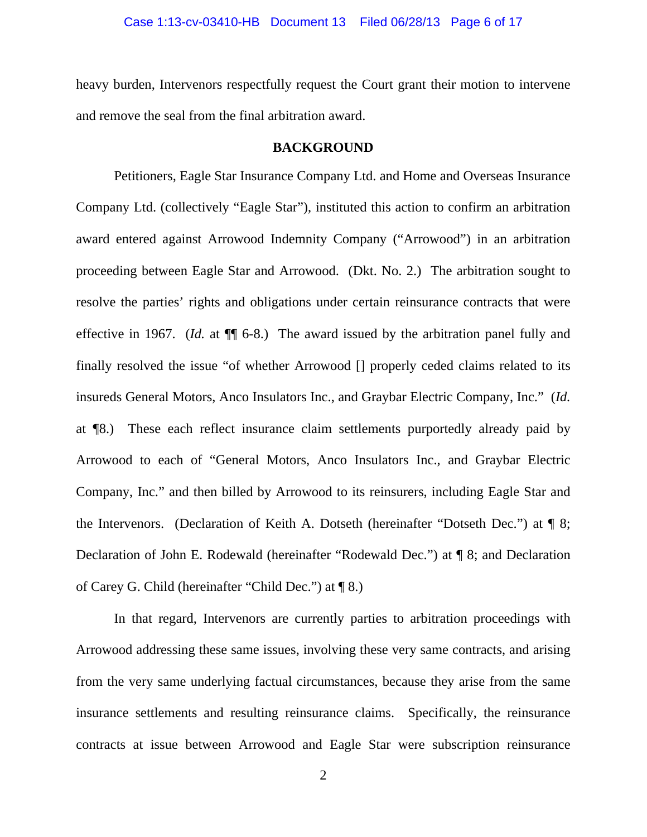heavy burden, Intervenors respectfully request the Court grant their motion to intervene and remove the seal from the final arbitration award.

### **BACKGROUND**

 Petitioners, Eagle Star Insurance Company Ltd. and Home and Overseas Insurance Company Ltd. (collectively "Eagle Star"), instituted this action to confirm an arbitration award entered against Arrowood Indemnity Company ("Arrowood") in an arbitration proceeding between Eagle Star and Arrowood. (Dkt. No. 2.) The arbitration sought to resolve the parties' rights and obligations under certain reinsurance contracts that were effective in 1967. (*Id.* at ¶¶ 6-8.) The award issued by the arbitration panel fully and finally resolved the issue "of whether Arrowood [] properly ceded claims related to its insureds General Motors, Anco Insulators Inc., and Graybar Electric Company, Inc." (*Id.*  at ¶8.) These each reflect insurance claim settlements purportedly already paid by Arrowood to each of "General Motors, Anco Insulators Inc., and Graybar Electric Company, Inc." and then billed by Arrowood to its reinsurers, including Eagle Star and the Intervenors. (Declaration of Keith A. Dotseth (hereinafter "Dotseth Dec.") at ¶ 8; Declaration of John E. Rodewald (hereinafter "Rodewald Dec.") at ¶ 8; and Declaration of Carey G. Child (hereinafter "Child Dec.") at ¶ 8.)

In that regard, Intervenors are currently parties to arbitration proceedings with Arrowood addressing these same issues, involving these very same contracts, and arising from the very same underlying factual circumstances, because they arise from the same insurance settlements and resulting reinsurance claims. Specifically, the reinsurance contracts at issue between Arrowood and Eagle Star were subscription reinsurance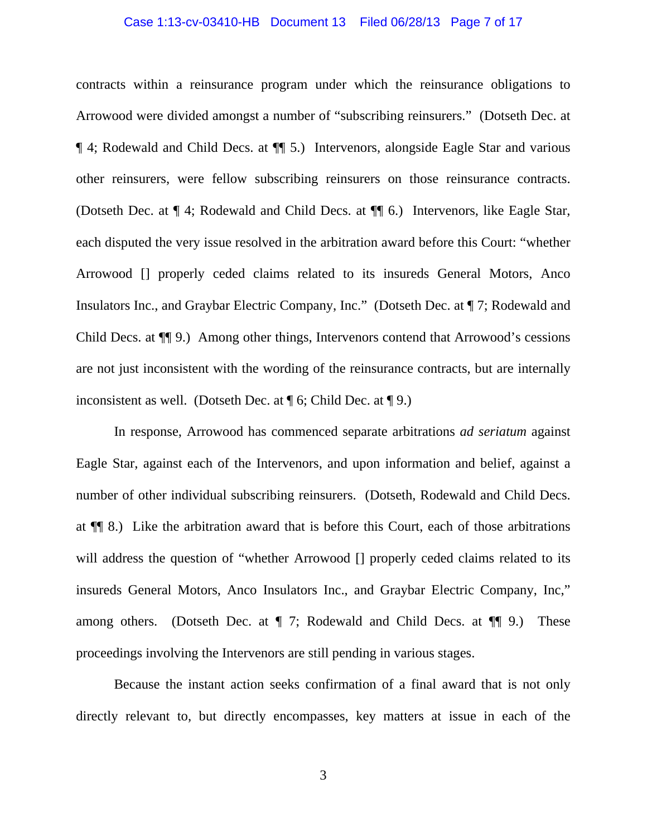#### Case 1:13-cv-03410-HB Document 13 Filed 06/28/13 Page 7 of 17

contracts within a reinsurance program under which the reinsurance obligations to Arrowood were divided amongst a number of "subscribing reinsurers." (Dotseth Dec. at ¶ 4; Rodewald and Child Decs. at ¶¶ 5.) Intervenors, alongside Eagle Star and various other reinsurers, were fellow subscribing reinsurers on those reinsurance contracts. (Dotseth Dec. at ¶ 4; Rodewald and Child Decs. at ¶¶ 6.) Intervenors, like Eagle Star, each disputed the very issue resolved in the arbitration award before this Court: "whether Arrowood [] properly ceded claims related to its insureds General Motors, Anco Insulators Inc., and Graybar Electric Company, Inc." (Dotseth Dec. at ¶ 7; Rodewald and Child Decs. at ¶¶ 9.) Among other things, Intervenors contend that Arrowood's cessions are not just inconsistent with the wording of the reinsurance contracts, but are internally inconsistent as well. (Dotseth Dec. at  $\P$  6; Child Dec. at  $\P$  9.)

In response, Arrowood has commenced separate arbitrations *ad seriatum* against Eagle Star, against each of the Intervenors, and upon information and belief, against a number of other individual subscribing reinsurers. (Dotseth, Rodewald and Child Decs. at ¶¶ 8.) Like the arbitration award that is before this Court, each of those arbitrations will address the question of "whether Arrowood [] properly ceded claims related to its insureds General Motors, Anco Insulators Inc., and Graybar Electric Company, Inc," among others. (Dotseth Dec. at  $\P$  7; Rodewald and Child Decs. at  $\P$  9.) These proceedings involving the Intervenors are still pending in various stages.

 Because the instant action seeks confirmation of a final award that is not only directly relevant to, but directly encompasses, key matters at issue in each of the

3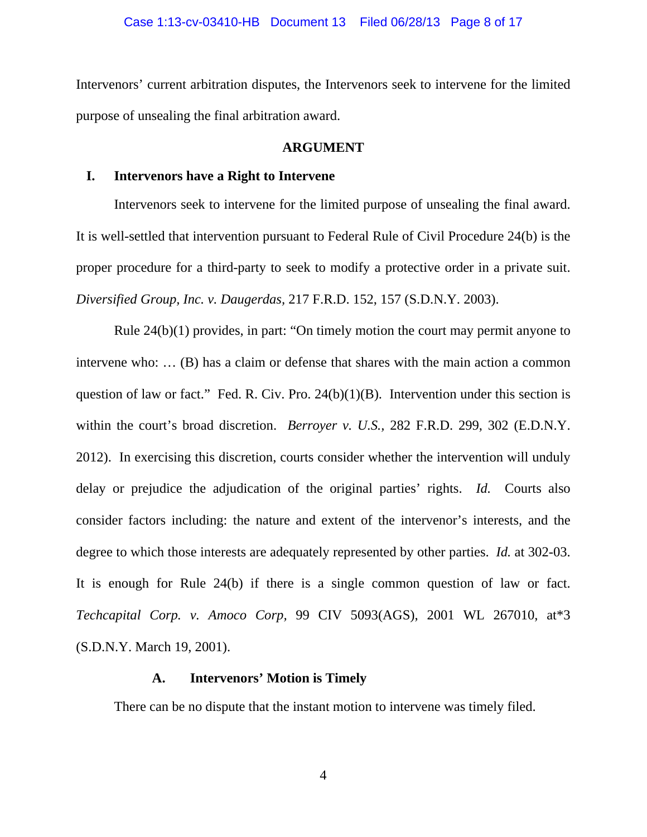Intervenors' current arbitration disputes, the Intervenors seek to intervene for the limited purpose of unsealing the final arbitration award.

## **ARGUMENT**

## **I. Intervenors have a Right to Intervene**

Intervenors seek to intervene for the limited purpose of unsealing the final award. It is well-settled that intervention pursuant to Federal Rule of Civil Procedure 24(b) is the proper procedure for a third-party to seek to modify a protective order in a private suit. *Diversified Group, Inc. v. Daugerdas,* 217 F.R.D. 152, 157 (S.D.N.Y. 2003).

Rule 24(b)(1) provides, in part: "On timely motion the court may permit anyone to intervene who: … (B) has a claim or defense that shares with the main action a common question of law or fact." Fed. R. Civ. Pro.  $24(b)(1)(B)$ . Intervention under this section is within the court's broad discretion. *Berroyer v. U.S.,* 282 F.R.D. 299, 302 (E.D.N.Y. 2012). In exercising this discretion, courts consider whether the intervention will unduly delay or prejudice the adjudication of the original parties' rights. *Id.* Courts also consider factors including: the nature and extent of the intervenor's interests, and the degree to which those interests are adequately represented by other parties. *Id.* at 302-03. It is enough for Rule 24(b) if there is a single common question of law or fact. *Techcapital Corp. v. Amoco Corp,* 99 CIV 5093(AGS), 2001 WL 267010, at\*3 (S.D.N.Y. March 19, 2001).

## **A. Intervenors' Motion is Timely**

There can be no dispute that the instant motion to intervene was timely filed.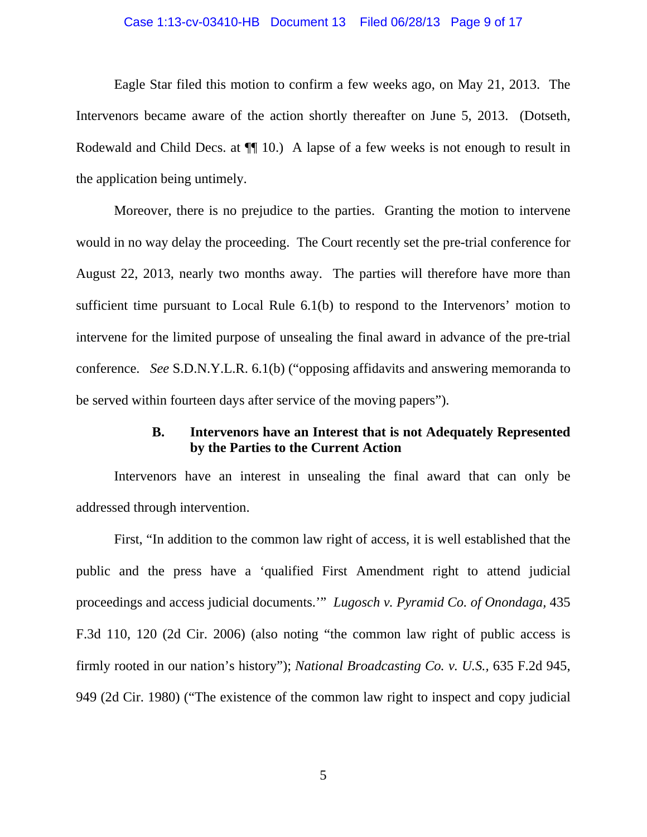#### Case 1:13-cv-03410-HB Document 13 Filed 06/28/13 Page 9 of 17

Eagle Star filed this motion to confirm a few weeks ago, on May 21, 2013. The Intervenors became aware of the action shortly thereafter on June 5, 2013. (Dotseth, Rodewald and Child Decs. at  $\P$  10.) A lapse of a few weeks is not enough to result in the application being untimely.

Moreover, there is no prejudice to the parties. Granting the motion to intervene would in no way delay the proceeding. The Court recently set the pre-trial conference for August 22, 2013, nearly two months away. The parties will therefore have more than sufficient time pursuant to Local Rule 6.1(b) to respond to the Intervenors' motion to intervene for the limited purpose of unsealing the final award in advance of the pre-trial conference. *See* S.D.N.Y.L.R. 6.1(b) ("opposing affidavits and answering memoranda to be served within fourteen days after service of the moving papers").

## **B. Intervenors have an Interest that is not Adequately Represented by the Parties to the Current Action**

 Intervenors have an interest in unsealing the final award that can only be addressed through intervention.

 First, "In addition to the common law right of access, it is well established that the public and the press have a 'qualified First Amendment right to attend judicial proceedings and access judicial documents.'" *Lugosch v. Pyramid Co. of Onondaga,* 435 F.3d 110, 120 (2d Cir. 2006) (also noting "the common law right of public access is firmly rooted in our nation's history"); *National Broadcasting Co. v. U.S.,* 635 F.2d 945, 949 (2d Cir. 1980) ("The existence of the common law right to inspect and copy judicial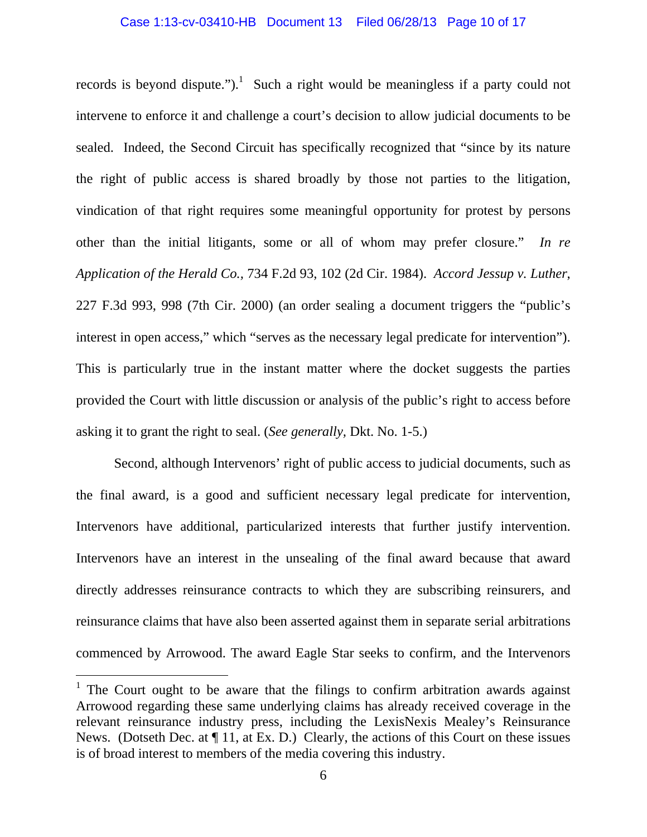records is beyond dispute." $)$ .<sup>1</sup> Such a right would be meaningless if a party could not intervene to enforce it and challenge a court's decision to allow judicial documents to be sealed. Indeed, the Second Circuit has specifically recognized that "since by its nature the right of public access is shared broadly by those not parties to the litigation, vindication of that right requires some meaningful opportunity for protest by persons other than the initial litigants, some or all of whom may prefer closure." *In re Application of the Herald Co.,* 734 F.2d 93, 102 (2d Cir. 1984). *Accord Jessup v. Luther*, 227 F.3d 993, 998 (7th Cir. 2000) (an order sealing a document triggers the "public's interest in open access," which "serves as the necessary legal predicate for intervention"). This is particularly true in the instant matter where the docket suggests the parties provided the Court with little discussion or analysis of the public's right to access before asking it to grant the right to seal. (*See generally,* Dkt. No. 1-5.)

Second, although Intervenors' right of public access to judicial documents, such as the final award, is a good and sufficient necessary legal predicate for intervention, Intervenors have additional, particularized interests that further justify intervention. Intervenors have an interest in the unsealing of the final award because that award directly addresses reinsurance contracts to which they are subscribing reinsurers, and reinsurance claims that have also been asserted against them in separate serial arbitrations commenced by Arrowood. The award Eagle Star seeks to confirm, and the Intervenors

 $\overline{a}$ 

<sup>&</sup>lt;sup>1</sup> The Court ought to be aware that the filings to confirm arbitration awards against Arrowood regarding these same underlying claims has already received coverage in the relevant reinsurance industry press, including the LexisNexis Mealey's Reinsurance News. (Dotseth Dec. at ¶ 11, at Ex. D.) Clearly, the actions of this Court on these issues is of broad interest to members of the media covering this industry.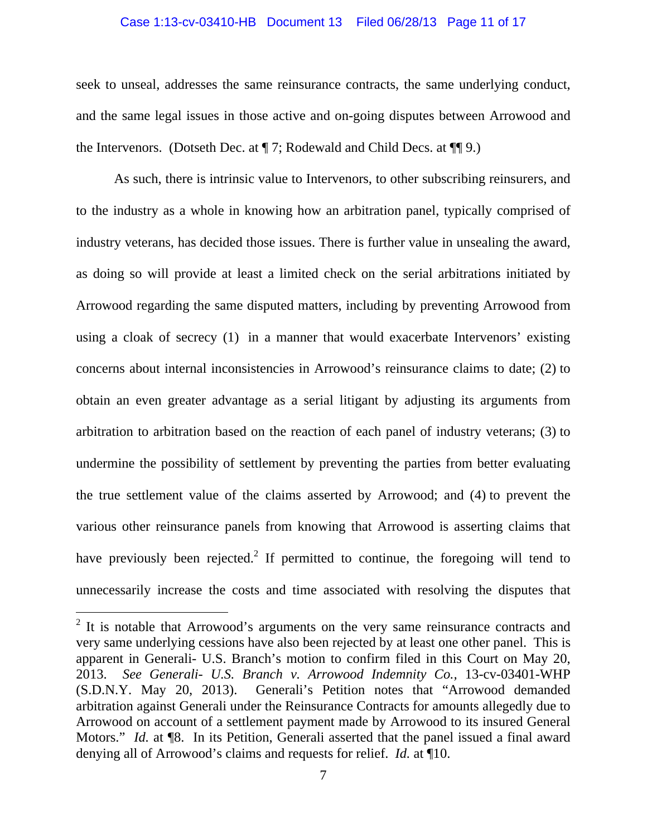#### Case 1:13-cv-03410-HB Document 13 Filed 06/28/13 Page 11 of 17

seek to unseal, addresses the same reinsurance contracts, the same underlying conduct, and the same legal issues in those active and on-going disputes between Arrowood and the Intervenors. (Dotseth Dec. at ¶ 7; Rodewald and Child Decs. at ¶¶ 9.)

As such, there is intrinsic value to Intervenors, to other subscribing reinsurers, and to the industry as a whole in knowing how an arbitration panel, typically comprised of industry veterans, has decided those issues. There is further value in unsealing the award, as doing so will provide at least a limited check on the serial arbitrations initiated by Arrowood regarding the same disputed matters, including by preventing Arrowood from using a cloak of secrecy (1) in a manner that would exacerbate Intervenors' existing concerns about internal inconsistencies in Arrowood's reinsurance claims to date; (2) to obtain an even greater advantage as a serial litigant by adjusting its arguments from arbitration to arbitration based on the reaction of each panel of industry veterans; (3) to undermine the possibility of settlement by preventing the parties from better evaluating the true settlement value of the claims asserted by Arrowood; and (4) to prevent the various other reinsurance panels from knowing that Arrowood is asserting claims that have previously been rejected.<sup>2</sup> If permitted to continue, the foregoing will tend to unnecessarily increase the costs and time associated with resolving the disputes that

 $\overline{a}$ 

 $2$  It is notable that Arrowood's arguments on the very same reinsurance contracts and very same underlying cessions have also been rejected by at least one other panel. This is apparent in Generali- U.S. Branch's motion to confirm filed in this Court on May 20, 2013. *See Generali- U.S. Branch v. Arrowood Indemnity Co.,* 13-cv-03401-WHP (S.D.N.Y. May 20, 2013). Generali's Petition notes that "Arrowood demanded arbitration against Generali under the Reinsurance Contracts for amounts allegedly due to Arrowood on account of a settlement payment made by Arrowood to its insured General Motors." *Id.* at **[8.** In its Petition, Generali asserted that the panel issued a final award denying all of Arrowood's claims and requests for relief. *Id.* at ¶10.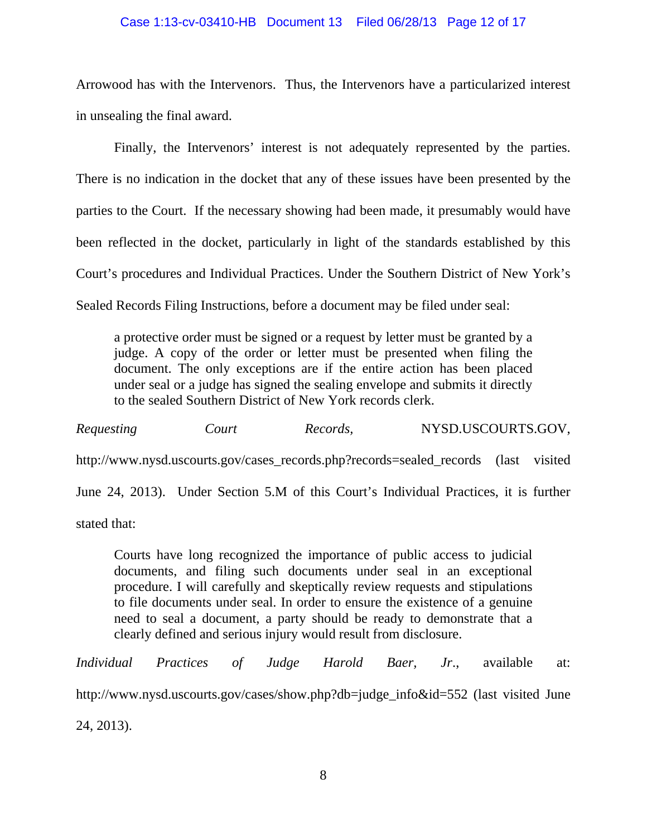### Case 1:13-cv-03410-HB Document 13 Filed 06/28/13 Page 12 of 17

Arrowood has with the Intervenors. Thus, the Intervenors have a particularized interest in unsealing the final award.

Finally, the Intervenors' interest is not adequately represented by the parties. There is no indication in the docket that any of these issues have been presented by the parties to the Court. If the necessary showing had been made, it presumably would have been reflected in the docket, particularly in light of the standards established by this Court's procedures and Individual Practices. Under the Southern District of New York's Sealed Records Filing Instructions, before a document may be filed under seal:

a protective order must be signed or a request by letter must be granted by a judge. A copy of the order or letter must be presented when filing the document. The only exceptions are if the entire action has been placed under seal or a judge has signed the sealing envelope and submits it directly to the sealed Southern District of New York records clerk.

*Requesting Court Records,* NYSD.USCOURTS.GOV, http://www.nysd.uscourts.gov/cases\_records.php?records=sealed\_records (last visited June 24, 2013). Under Section 5.M of this Court's Individual Practices, it is further stated that:

Courts have long recognized the importance of public access to judicial documents, and filing such documents under seal in an exceptional procedure. I will carefully and skeptically review requests and stipulations to file documents under seal. In order to ensure the existence of a genuine need to seal a document, a party should be ready to demonstrate that a clearly defined and serious injury would result from disclosure.

*Individual Practices of Judge Harold Baer, Jr*., available at: http://www.nysd.uscourts.gov/cases/show.php?db=judge\_info&id=552 (last visited June 24, 2013).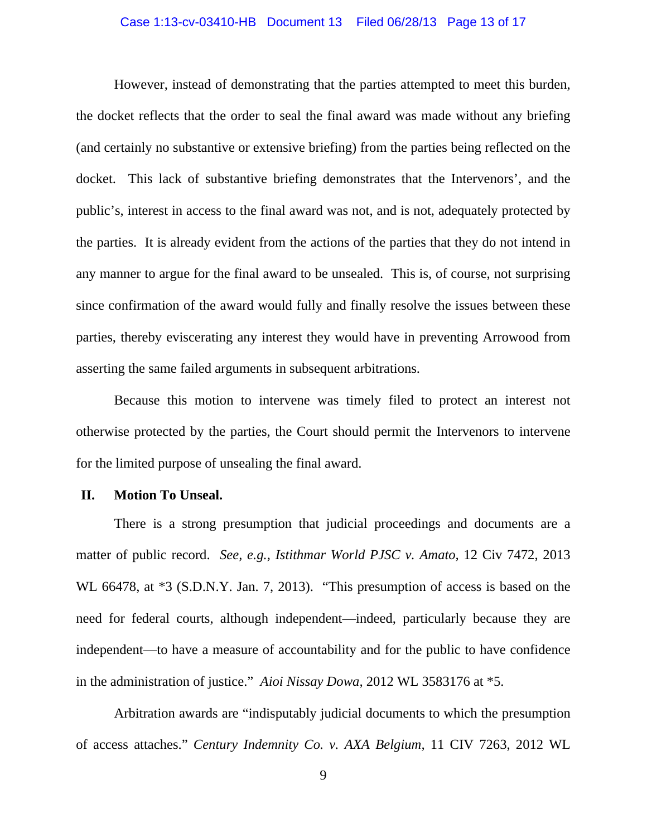#### Case 1:13-cv-03410-HB Document 13 Filed 06/28/13 Page 13 of 17

However, instead of demonstrating that the parties attempted to meet this burden, the docket reflects that the order to seal the final award was made without any briefing (and certainly no substantive or extensive briefing) from the parties being reflected on the docket. This lack of substantive briefing demonstrates that the Intervenors', and the public's, interest in access to the final award was not, and is not, adequately protected by the parties. It is already evident from the actions of the parties that they do not intend in any manner to argue for the final award to be unsealed. This is, of course, not surprising since confirmation of the award would fully and finally resolve the issues between these parties, thereby eviscerating any interest they would have in preventing Arrowood from asserting the same failed arguments in subsequent arbitrations.

Because this motion to intervene was timely filed to protect an interest not otherwise protected by the parties, the Court should permit the Intervenors to intervene for the limited purpose of unsealing the final award.

### **II. Motion To Unseal.**

 There is a strong presumption that judicial proceedings and documents are a matter of public record. *See, e.g., Istithmar World PJSC v. Amato,* 12 Civ 7472, 2013 WL 66478, at  $*3$  (S.D.N.Y. Jan. 7, 2013). "This presumption of access is based on the need for federal courts, although independent—indeed, particularly because they are independent—to have a measure of accountability and for the public to have confidence in the administration of justice." *Aioi Nissay Dowa,* 2012 WL 3583176 at \*5.

Arbitration awards are "indisputably judicial documents to which the presumption of access attaches." *Century Indemnity Co. v. AXA Belgium,* 11 CIV 7263, 2012 WL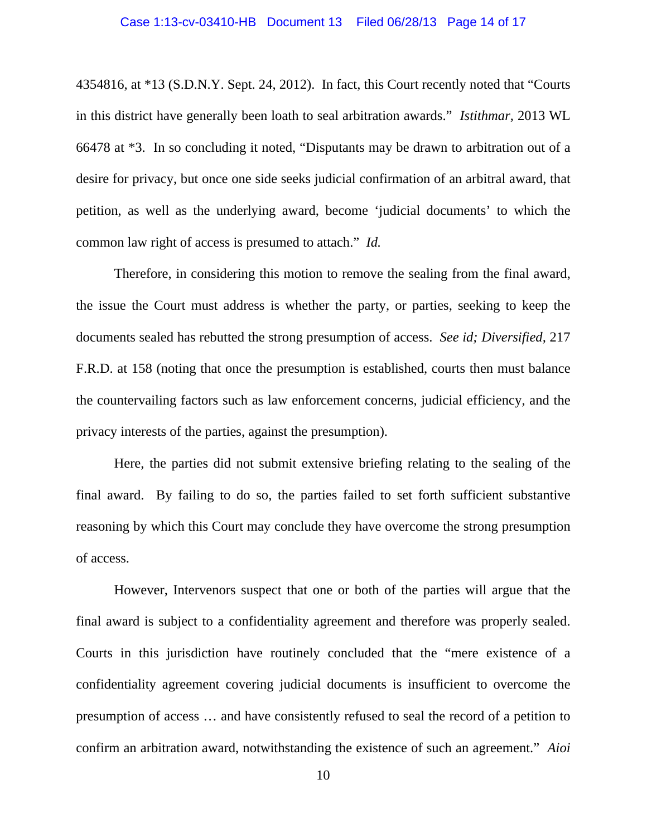4354816, at \*13 (S.D.N.Y. Sept. 24, 2012). In fact, this Court recently noted that "Courts in this district have generally been loath to seal arbitration awards." *Istithmar,* 2013 WL 66478 at \*3. In so concluding it noted, "Disputants may be drawn to arbitration out of a desire for privacy, but once one side seeks judicial confirmation of an arbitral award, that petition, as well as the underlying award, become 'judicial documents' to which the common law right of access is presumed to attach." *Id.* 

Therefore, in considering this motion to remove the sealing from the final award, the issue the Court must address is whether the party, or parties, seeking to keep the documents sealed has rebutted the strong presumption of access. *See id; Diversified,* 217 F.R.D. at 158 (noting that once the presumption is established, courts then must balance the countervailing factors such as law enforcement concerns, judicial efficiency, and the privacy interests of the parties, against the presumption).

Here, the parties did not submit extensive briefing relating to the sealing of the final award. By failing to do so, the parties failed to set forth sufficient substantive reasoning by which this Court may conclude they have overcome the strong presumption of access.

However, Intervenors suspect that one or both of the parties will argue that the final award is subject to a confidentiality agreement and therefore was properly sealed. Courts in this jurisdiction have routinely concluded that the "mere existence of a confidentiality agreement covering judicial documents is insufficient to overcome the presumption of access … and have consistently refused to seal the record of a petition to confirm an arbitration award, notwithstanding the existence of such an agreement." *Aioi*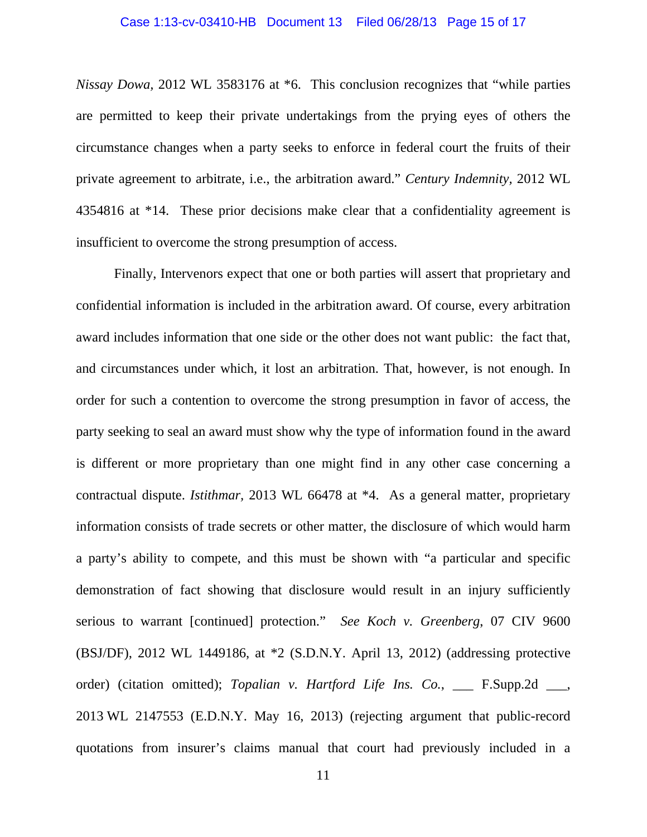#### Case 1:13-cv-03410-HB Document 13 Filed 06/28/13 Page 15 of 17

*Nissay Dowa,* 2012 WL 3583176 at \*6. This conclusion recognizes that "while parties are permitted to keep their private undertakings from the prying eyes of others the circumstance changes when a party seeks to enforce in federal court the fruits of their private agreement to arbitrate, i.e., the arbitration award." *Century Indemnity,* 2012 WL 4354816 at \*14. These prior decisions make clear that a confidentiality agreement is insufficient to overcome the strong presumption of access.

Finally, Intervenors expect that one or both parties will assert that proprietary and confidential information is included in the arbitration award. Of course, every arbitration award includes information that one side or the other does not want public: the fact that, and circumstances under which, it lost an arbitration. That, however, is not enough. In order for such a contention to overcome the strong presumption in favor of access, the party seeking to seal an award must show why the type of information found in the award is different or more proprietary than one might find in any other case concerning a contractual dispute. *Istithmar,* 2013 WL 66478 at \*4. As a general matter, proprietary information consists of trade secrets or other matter, the disclosure of which would harm a party's ability to compete, and this must be shown with "a particular and specific demonstration of fact showing that disclosure would result in an injury sufficiently serious to warrant [continued] protection." *See Koch v. Greenberg*, 07 CIV 9600 (BSJ/DF), 2012 WL 1449186, at \*2 (S.D.N.Y. April 13, 2012) (addressing protective order) (citation omitted); *Topalian v. Hartford Life Ins. Co.*, \_\_\_ F.Supp.2d \_\_\_, 2013 WL 2147553 (E.D.N.Y. May 16, 2013) (rejecting argument that public-record quotations from insurer's claims manual that court had previously included in a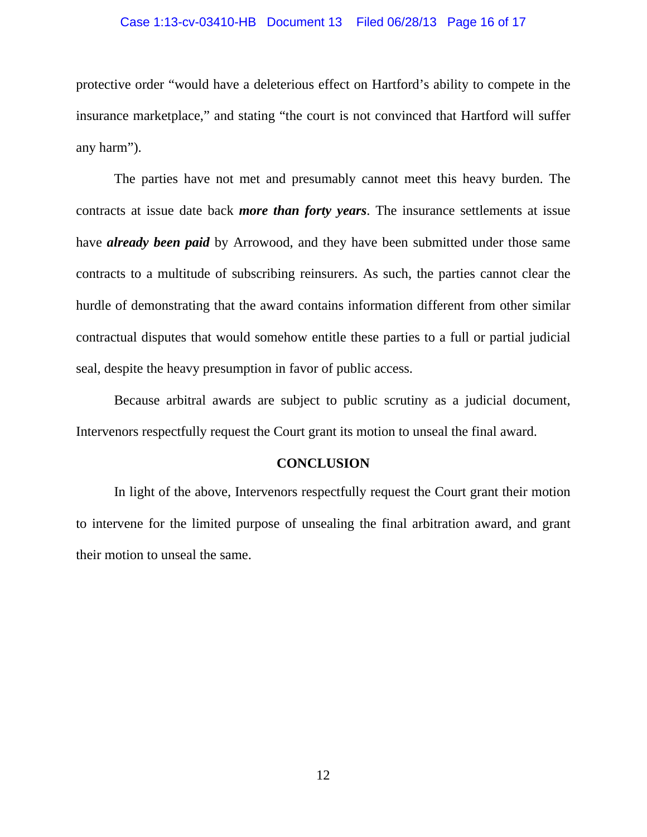#### Case 1:13-cv-03410-HB Document 13 Filed 06/28/13 Page 16 of 17

protective order "would have a deleterious effect on Hartford's ability to compete in the insurance marketplace," and stating "the court is not convinced that Hartford will suffer any harm").

The parties have not met and presumably cannot meet this heavy burden. The contracts at issue date back *more than forty years*. The insurance settlements at issue have *already been paid* by Arrowood, and they have been submitted under those same contracts to a multitude of subscribing reinsurers. As such, the parties cannot clear the hurdle of demonstrating that the award contains information different from other similar contractual disputes that would somehow entitle these parties to a full or partial judicial seal, despite the heavy presumption in favor of public access.

Because arbitral awards are subject to public scrutiny as a judicial document, Intervenors respectfully request the Court grant its motion to unseal the final award.

### **CONCLUSION**

In light of the above, Intervenors respectfully request the Court grant their motion to intervene for the limited purpose of unsealing the final arbitration award, and grant their motion to unseal the same.